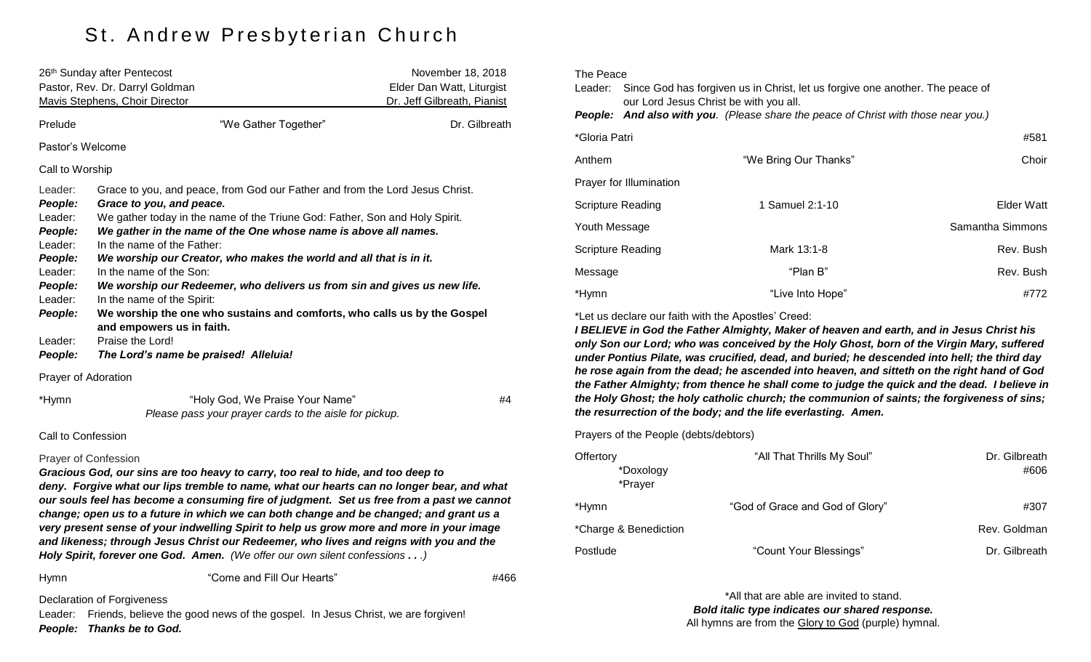# St. Andrew Presbyterian Church

|                                                                                                                                  | 26 <sup>th</sup> Sunday after Pentecost<br>Pastor, Rev. Dr. Darryl Goldman<br>Mavis Stephens, Choir Director                                                                                                                                                                                                                                                                                                                                                                                                                                                                                                                                                              |                                                                                           | November 18, 2018<br>Elder Dan Watt, Liturgist<br>Dr. Jeff Gilbreath, Pianist |
|----------------------------------------------------------------------------------------------------------------------------------|---------------------------------------------------------------------------------------------------------------------------------------------------------------------------------------------------------------------------------------------------------------------------------------------------------------------------------------------------------------------------------------------------------------------------------------------------------------------------------------------------------------------------------------------------------------------------------------------------------------------------------------------------------------------------|-------------------------------------------------------------------------------------------|-------------------------------------------------------------------------------|
| Prelude                                                                                                                          |                                                                                                                                                                                                                                                                                                                                                                                                                                                                                                                                                                                                                                                                           | "We Gather Together"                                                                      | Dr. Gilbreath                                                                 |
| Pastor's Welcome                                                                                                                 |                                                                                                                                                                                                                                                                                                                                                                                                                                                                                                                                                                                                                                                                           |                                                                                           |                                                                               |
| Call to Worship                                                                                                                  |                                                                                                                                                                                                                                                                                                                                                                                                                                                                                                                                                                                                                                                                           |                                                                                           |                                                                               |
| Leader:<br>People:<br>Leader:<br>People:<br>Leader:<br>People:<br>Leader:<br>People:<br>Leader:<br>People:<br>Leader:<br>People: | Grace to you, and peace, from God our Father and from the Lord Jesus Christ.<br>Grace to you, and peace.<br>We gather today in the name of the Triune God: Father, Son and Holy Spirit.<br>We gather in the name of the One whose name is above all names.<br>In the name of the Father:<br>We worship our Creator, who makes the world and all that is in it.<br>In the name of the Son:<br>We worship our Redeemer, who delivers us from sin and gives us new life.<br>In the name of the Spirit:<br>We worship the one who sustains and comforts, who calls us by the Gospel<br>and empowers us in faith.<br>Praise the Lord!<br>The Lord's name be praised! Alleluia! |                                                                                           |                                                                               |
| Prayer of Adoration                                                                                                              |                                                                                                                                                                                                                                                                                                                                                                                                                                                                                                                                                                                                                                                                           |                                                                                           |                                                                               |
| *Hymn                                                                                                                            |                                                                                                                                                                                                                                                                                                                                                                                                                                                                                                                                                                                                                                                                           | "Holy God, We Praise Your Name"<br>Please pass your prayer cards to the aisle for pickup. | #4                                                                            |
| Call to Confession                                                                                                               |                                                                                                                                                                                                                                                                                                                                                                                                                                                                                                                                                                                                                                                                           |                                                                                           |                                                                               |
| Prayer of Confession                                                                                                             | Gracious God, our sins are too heavy to carry, too real to hide, and too deep to<br>deny. Forgive what our lips tremble to name, what our hearts can no longer bear, and what<br>our souls feel has become a consuming fire of judgment. Set us free from a past we cannot<br>change; open us to a future in which we can both change and be changed; and grant us a<br>very present sense of your indwelling Spirit to help us grow more and more in your image<br>and likeness; through Jesus Christ our Redeemer, who lives and reigns with you and the                                                                                                                |                                                                                           |                                                                               |

Hymn **"Come and Fill Our Hearts" Example 2018** 2019 4466

Declaration of Forgiveness

Leader: Friends, believe the good news of the gospel. In Jesus Christ, we are forgiven! *People: Thanks be to God.*

*Holy Spirit, forever one God. Amen. (We offer our own silent confessions . . .)*

| The Peace         |                                                                                                                         |                                                                                    |                  |
|-------------------|-------------------------------------------------------------------------------------------------------------------------|------------------------------------------------------------------------------------|------------------|
| Leader:           | Since God has forgiven us in Christ, let us forgive one another. The peace of<br>our Lord Jesus Christ be with you all. |                                                                                    |                  |
|                   |                                                                                                                         | People: And also with you. (Please share the peace of Christ with those near you.) |                  |
| *Gloria Patri     |                                                                                                                         |                                                                                    | #581             |
| Anthem            |                                                                                                                         | "We Bring Our Thanks"                                                              | Choir            |
|                   | Prayer for Illumination                                                                                                 |                                                                                    |                  |
| Scripture Reading |                                                                                                                         | 1 Samuel 2:1-10                                                                    | Elder Watt       |
| Youth Message     |                                                                                                                         |                                                                                    | Samantha Simmons |
| Scripture Reading |                                                                                                                         | Mark 13:1-8                                                                        | Rev. Bush        |
| Message           |                                                                                                                         | "Plan B"                                                                           | Rev. Bush        |
| *Hymn             |                                                                                                                         | "Live Into Hope"                                                                   | #772             |

\*Let us declare our faith with the Apostles' Creed:

*I BELIEVE in God the Father Almighty, Maker of heaven and earth, and in Jesus Christ his only Son our Lord; who was conceived by the Holy Ghost, born of the Virgin Mary, suffered under Pontius Pilate, was crucified, dead, and buried; he descended into hell; the third day he rose again from the dead; he ascended into heaven, and sitteth on the right hand of God the Father Almighty; from thence he shall come to judge the quick and the dead. I believe in the Holy Ghost; the holy catholic church; the communion of saints; the forgiveness of sins; the resurrection of the body; and the life everlasting. Amen.*

Prayers of the People (debts/debtors)

| Offertory<br>*Doxology<br>*Prayer | "All That Thrills My Soul"      | Dr. Gilbreath<br>#606 |
|-----------------------------------|---------------------------------|-----------------------|
| *Hymn                             | "God of Grace and God of Glory" | #307                  |
| *Charge & Benediction             |                                 | Rev. Goldman          |
| Postlude                          | "Count Your Blessings"          | Dr. Gilbreath         |

\*All that are able are invited to stand. *Bold italic type indicates our shared response.* All hymns are from the Glory to God (purple) hymnal.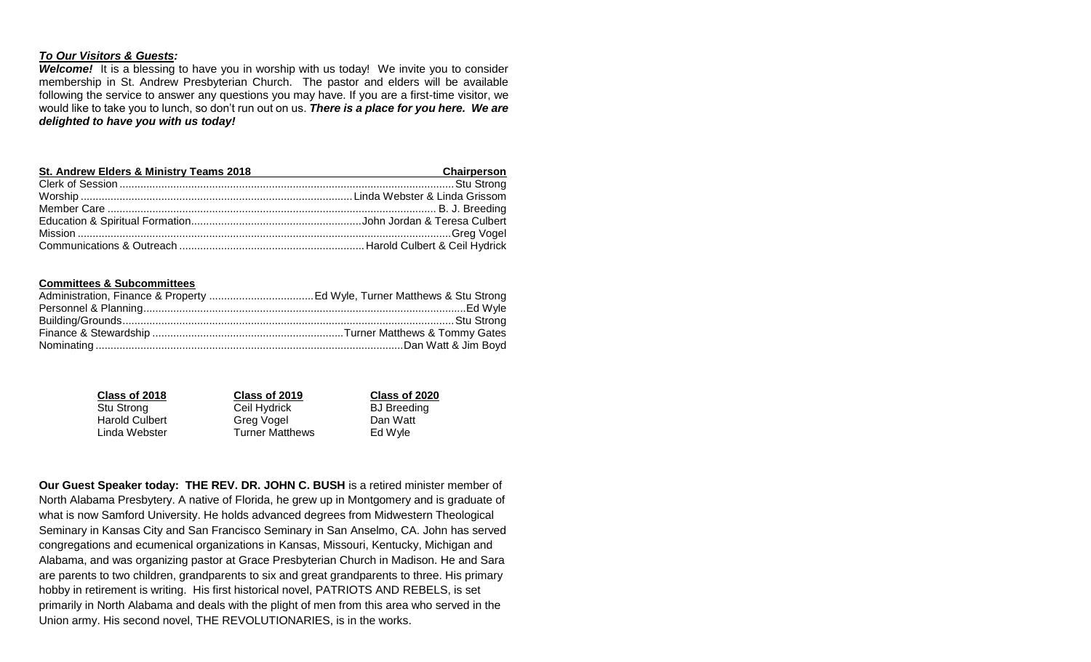### *To Our Visitors & Guests:*

*Welcome!* It is a blessing to have you in worship with us today! We invite you to consider membership in St. Andrew Presbyterian Church. The pastor and elders will be available following the service to answer any questions you may have. If you are a first-time visitor, we would like to take you to lunch, so don't run out on us. *There is a place for you here. We are delighted to have you with us today!*

| St. Andrew Elders & Ministry Teams 2018 | Chairperson |
|-----------------------------------------|-------------|
|                                         |             |
|                                         |             |
|                                         |             |
|                                         |             |
|                                         |             |
|                                         |             |

#### **Committees & Subcommittees**

| Class of 2018         | Class of 2019          | Class of 2020      |
|-----------------------|------------------------|--------------------|
| Stu Strong            | Ceil Hydrick           | <b>BJ</b> Breeding |
| <b>Harold Culbert</b> | Greg Vogel             | Dan Watt           |
| Linda Webster         | <b>Turner Matthews</b> | Ed Wyle            |

**Our Guest Speaker today: THE REV. DR. JOHN C. BUSH** is a retired minister member of North Alabama Presbytery. A native of Florida, he grew up in Montgomery and is graduate of what is now Samford University. He holds advanced degrees from Midwestern Theological Seminary in Kansas City and San Francisco Seminary in San Anselmo, CA. John has served congregations and ecumenical organizations in Kansas, Missouri, Kentucky, Michigan and Alabama, and was organizing pastor at Grace Presbyterian Church in Madison. He and Sara are parents to two children, grandparents to six and great grandparents to three. His primary hobby in retirement is writing. His first historical novel, PATRIOTS AND REBELS, is set primarily in North Alabama and deals with the plight of men from this area who served in the Union army. His second novel, THE REVOLUTIONARIES, is in the works.